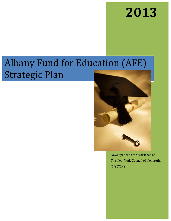# **2013**

# Albany Fund for Education (AFE) Strategic Plan



Developed with the assistance of The New York Council of Nonprofits (NYCON)